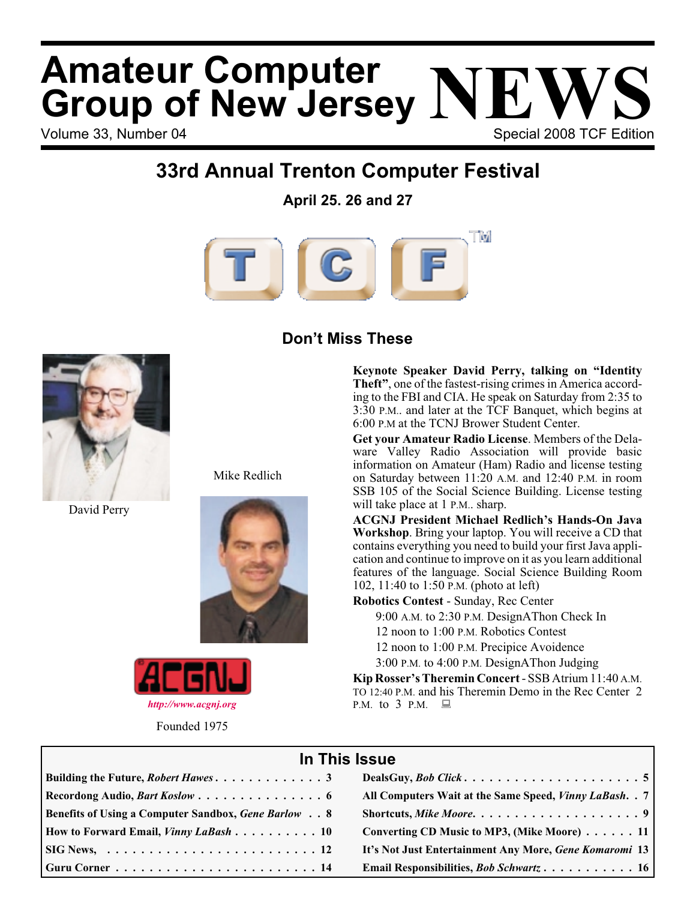# Volume 33, Number 04 Special 2008 TCF Edition **Amateur Computer<br>Group of New Jersey NEWS**<br>Volume 33 Number 04

### **33rd Annual Trenton Computer Festival**

**April 25. 26 and 27**



### **Don't Miss These**



David Perry

Mike Redlich





Founded 1975

**Keynote Speaker David Perry, talking on "Identity Theft"**, one of the fastest-rising crimes in America according to the FBI and CIA. He speak on Saturday from 2:35 to 3:30 P.M.. and later at the TCF Banquet, which begins at 6:00 P.M at the TCNJ Brower Student Center.

**Get your Amateur Radio License**. Members of the Delaware Valley Radio Association will provide basic information on Amateur (Ham) Radio and license testing on Saturday between 11:20 A.M. and 12:40 P.M. in room SSB 105 of the Social Science Building. License testing will take place at 1 P.M., sharp.

**ACGNJ President Michael Redlich's Hands-On Java Workshop**. Bring your laptop. You will receive a CD that contains everything you need to build your first Java application and continue to improve on it as you learn additional features of the language. Social Science Building Room 102, 11:40 to 1:50 P.M. (photo at left)

**Robotics Contest** - Sunday, Rec Center

9:00 A.M. to 2:30 P.M. DesignAThon Check In

12 noon to 1:00 P.M. Robotics Contest

12 noon to 1:00 P.M. Precipice Avoidence

3:00 P.M. to 4:00 P.M. DesignAThon Judging

**Kip Rosser's Theremin Concert**- SSB Atrium 11:40 A.M. TO 12:40 P.M. and his Theremin Demo in the Rec Center 2 P.M. to 3 P.M.

#### **In This Issue**

| Recordong Audio, Bart Koslow  6                            | All Computers Wait at the Same Speed, Vinny LaBash. . 7 |
|------------------------------------------------------------|---------------------------------------------------------|
| <b>Benefits of Using a Computer Sandbox, Gene Barlow 8</b> |                                                         |
| How to Forward Email, Vinny LaBash 10                      | Converting CD Music to MP3, (Mike Moore) 11             |
|                                                            | It's Not Just Entertainment Any More, Gene Komaromi 13  |
|                                                            | Email Responsibilities, <i>Bob Schwartz</i> 16          |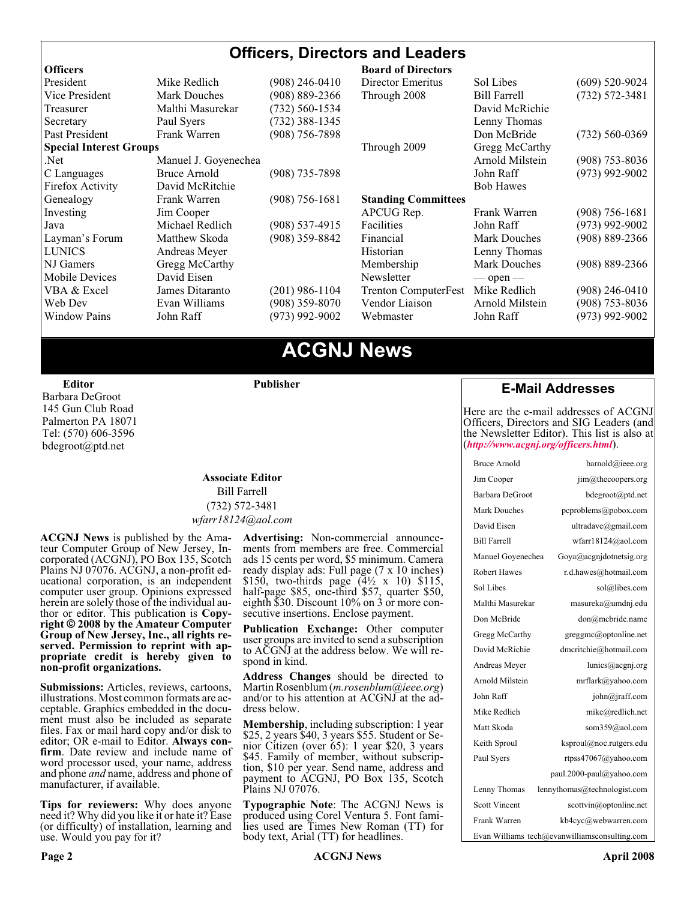#### **Officers, Directors and Leaders**

| <b>Officers</b>                |                      |                    | <b>Board of Directors</b>   |                     |                    |
|--------------------------------|----------------------|--------------------|-----------------------------|---------------------|--------------------|
| President                      | Mike Redlich         | (908) 246-0410     | Director Emeritus           | Sol Libes           | $(609)$ 520-9024   |
| Vice President                 | <b>Mark Douches</b>  | $(908) 889 - 2366$ | Through 2008                | <b>Bill Farrell</b> | $(732) 572 - 3481$ |
| Treasurer                      | Malthi Masurekar     | (732) 560-1534     |                             | David McRichie      |                    |
| Secretary                      | Paul Syers           | $(732)$ 388-1345   |                             | Lenny Thomas        |                    |
| Past President                 | Frank Warren         | $(908)$ 756-7898   |                             | Don McBride         | $(732) 560 - 0369$ |
| <b>Special Interest Groups</b> |                      |                    | Through 2009                | Gregg McCarthy      |                    |
| Net.                           | Manuel J. Goyenechea |                    |                             | Arnold Milstein     | $(908)$ 753-8036   |
| C Languages                    | Bruce Arnold         | $(908)$ 735-7898   |                             | John Raff           | $(973)$ 992-9002   |
| Firefox Activity               | David McRitchie      |                    |                             | <b>Bob Hawes</b>    |                    |
| Genealogy                      | Frank Warren         | $(908) 756 - 1681$ | <b>Standing Committees</b>  |                     |                    |
| Investing                      | Jim Cooper           |                    | APCUG Rep.                  | Frank Warren        | $(908)$ 756-1681   |
| Java                           | Michael Redlich      | $(908)$ 537-4915   | Facilities                  | John Raff           | $(973)$ 992-9002   |
| Layman's Forum                 | Matthew Skoda        | (908) 359-8842     | Financial                   | <b>Mark Douches</b> | $(908) 889 - 2366$ |
| <b>LUNICS</b>                  | Andreas Meyer        |                    | Historian                   | Lenny Thomas        |                    |
| NJ Gamers                      | Gregg McCarthy       |                    | Membership                  | Mark Douches        | $(908) 889 - 2366$ |
| Mobile Devices                 | David Eisen          |                    | Newsletter                  | $-$ open $-$        |                    |
| VBA & Excel                    | James Ditaranto      | $(201)$ 986-1104   | <b>Trenton ComputerFest</b> | Mike Redlich        | $(908)$ 246-0410   |
| Web Dev                        | Evan Williams        | $(908)$ 359-8070   | Vendor Liaison              | Arnold Milstein     | $(908)$ 753-8036   |
| <b>Window Pains</b>            | John Raff            | $(973)$ 992-9002   | Webmaster                   | John Raff           | $(973)$ 992-9002   |
|                                |                      |                    |                             |                     |                    |

### **ACGNJ News**

**Editor**

Barbara DeGroot 145 Gun Club Road Palmerton PA 18071 Tel: (570) 606-3596 bdegroot@ptd.net

#### **Associate Editor** Bill Farrell (732) 572-3481 *wfarr18124@aol.com*

**Publisher**

**ACGNJ News** is published by the Ama- teur Computer Group of New Jersey, In- corporated (ACGNJ), PO Box 135, Scotch Plains NJ 07076. ACGNJ, a non-profit ed-<br>ucational corporation, is an independent computer user group. Opinions expressed<br>herein are solely those of the individual author or editor. This publication is **Copy-**<br>right © 2008 by the Amateur Computer<br>Group of New Jersey, Inc., all rights re-**Group of New Jersey, Inc., all rights re- served. Permission to reprint with ap- propriate credit is hereby given to non-profit organizations.**

**Submissions:** Articles, reviews, cartoons, illustrations. Most common formats are acceptable. Graphics embedded in the docu-<br>ment must also be included as separate files. Fax or mail hard copy and/or disk to editor: OR e-mail to Editor. **Always con**firm. Date review and include name of word processor used, your name, address and phone *and* name, address and phone of manufacturer, if available.

**Tips for reviewers:** Why does anyone need it? Why did you like it or hate it? Ease (or difficulty) of installation, learning and use. Would you pay for it?

**Advertising:** Non-commercial announce- ments from members are free. Commercial ads 15 cents per word, \$5 minimum. Camera ready display ads: Full page (7 x 10 inches) \$150, two-thirds page (4½ x 10) \$115, half-page \$85, one-third \$57, quarter \$50, eighth \$30. Discount 10% on 3 or more con- secutive insertions. Enclose payment.

**Publication Exchange:** Other computer user groups are invited to send a subscription to ACGNJ at the address below. We will re- spond in kind.

**Address Changes** should be directed to Martin Rosenblum (*m.rosenblum@ieee.org*) and/or to his attention at ACGNJ at the ad- dress below.

**Membership**, including subscription: 1 year \$25, 2 years \$40, 3 years \$55. Student or Senior Citizen (over 65): 1 year \$20, 3 years \$45. Family of member, without subscription, \$10 per year. Send name, address and payment to ACGNJ, PO Box 135, Scotch Plains NJ 07076.

**Typographic Note**: The ACGNJ News is produced using Corel Ventura 5. Font fami- lies used are Times New Roman (TT) for body text, Arial (TT) for headlines.

#### **E-Mail Addresses**

Here are the e-mail addresses of ACGNJ Officers, Directors and SIG Leaders (and the Newsletter Editor). This list is also at (*<http://www.acgnj.org/officers.html>*).

| Bruce Arnold                                  | barnold@ieee.org             |  |  |
|-----------------------------------------------|------------------------------|--|--|
| Jim Cooper                                    | jim@thecoopers.org           |  |  |
| Barbara DeGroot                               | bdegroot@ptd.net             |  |  |
| Mark Douches                                  | pcproblems@pobox.com         |  |  |
| David Eisen                                   | ultradave@gmail.com          |  |  |
| <b>Bill Farrell</b>                           | wfarr18124@aol.com           |  |  |
| Manuel Goyenechea                             | Goya@acgnjdotnetsig.org      |  |  |
| <b>Robert Hawes</b>                           | r.d.hawes@hotmail.com        |  |  |
| Sol Libes                                     | sol@libes.com                |  |  |
| Malthi Masurekar                              | masureka@umdnj.edu           |  |  |
| Don McBride                                   | don@mcbride.name             |  |  |
| Gregg McCarthy                                | greggmc@optonline.net        |  |  |
| David McRichie                                | dmcritchie@hotmail.com       |  |  |
| Andreas Meyer                                 | lunics@acgnj.org             |  |  |
| Arnold Milstein                               | mrflark@yahoo.com            |  |  |
| John Raff                                     | john@jraff.com               |  |  |
| Mike Redlich                                  | mike@redlich.net             |  |  |
| Matt Skoda                                    | som359@aol.com               |  |  |
| Keith Sproul                                  | ksproul@noc.rutgers.edu      |  |  |
| Paul Syers                                    | rtpss47067@yahoo.com         |  |  |
|                                               | paul.2000-paul@yahoo.com     |  |  |
| Lenny Thomas                                  | lennythomas@technologist.com |  |  |
| <b>Scott Vincent</b>                          | scottvin@optonline.net       |  |  |
| Frank Warren                                  | kb4cyc@webwarren.com         |  |  |
| Evan Williams tech@evanwilliamsconsulting.com |                              |  |  |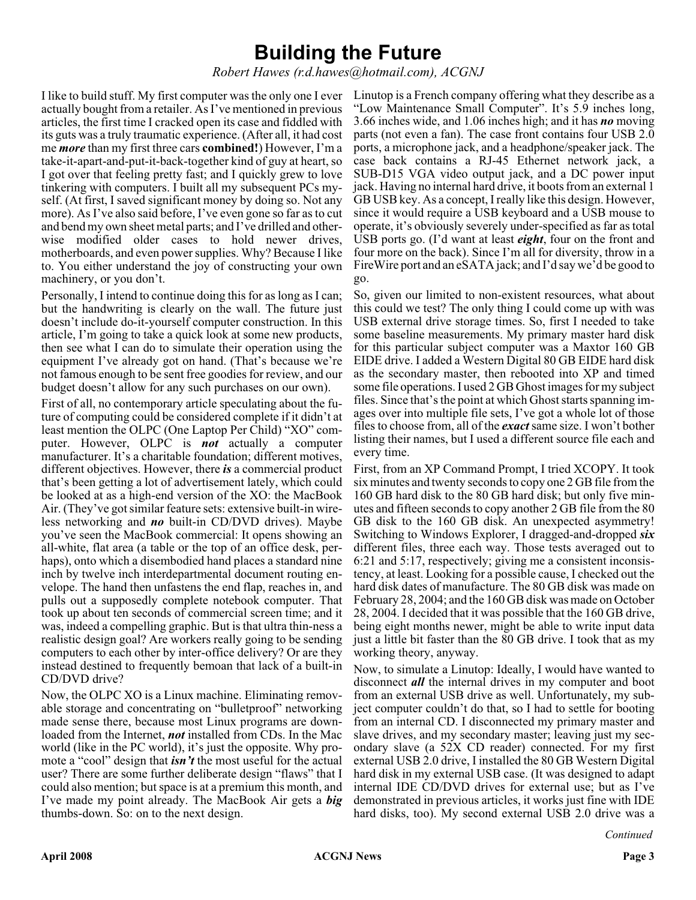### **Building the Future**

*Robert Hawes (r.d.hawes@hotmail.com), ACGNJ*

I like to build stuff. My first computer was the only one I ever actually bought from a retailer. As I've mentioned in previous articles, the first time I cracked open its case and fiddled with its guts was a truly traumatic experience. (After all, it had cost me *more* than my first three cars **combined!**) However, I'm a take-it-apart-and-put-it-back-together kind of guy at heart, so I got over that feeling pretty fast; and I quickly grew to love tinkering with computers. I built all my subsequent PCs myself. (At first, I saved significant money by doing so. Not any more). As I've also said before, I've even gone so far as to cut and bend my own sheet metal parts; and I've drilled and otherwise modified older cases to hold newer drives, motherboards, and even power supplies. Why? Because I like to. You either understand the joy of constructing your own machinery, or you don't.

Personally, I intend to continue doing this for as long as I can; but the handwriting is clearly on the wall. The future just doesn't include do-it-yourself computer construction. In this article, I'm going to take a quick look at some new products, then see what I can do to simulate their operation using the equipment I've already got on hand. (That's because we're not famous enough to be sent free goodies for review, and our budget doesn't allow for any such purchases on our own).

First of all, no contemporary article speculating about the future of computing could be considered complete if it didn't at least mention the OLPC (One Laptop Per Child) "XO" computer. However, OLPC is *not* actually a computer manufacturer. It's a charitable foundation; different motives, different objectives. However, there *is* a commercial product that's been getting a lot of advertisement lately, which could be looked at as a high-end version of the XO: the MacBook Air. (They've got similar feature sets: extensive built-in wireless networking and *no* built-in CD/DVD drives). Maybe you've seen the MacBook commercial: It opens showing an all-white, flat area (a table or the top of an office desk, perhaps), onto which a disembodied hand places a standard nine inch by twelve inch interdepartmental document routing envelope. The hand then unfastens the end flap, reaches in, and pulls out a supposedly complete notebook computer. That took up about ten seconds of commercial screen time; and it was, indeed a compelling graphic. But is that ultra thin-ness a realistic design goal? Are workers really going to be sending computers to each other by inter-office delivery? Or are they instead destined to frequently bemoan that lack of a built-in CD/DVD drive?

Now, the OLPC XO is a Linux machine. Eliminating removable storage and concentrating on "bulletproof" networking made sense there, because most Linux programs are downloaded from the Internet, *not* installed from CDs. In the Mac world (like in the PC world), it's just the opposite. Why promote a "cool" design that *isn't* the most useful for the actual user? There are some further deliberate design "flaws" that I could also mention; but space is at a premium this month, and I've made my point already. The MacBook Air gets a *big* thumbs-down. So: on to the next design.

Linutop is a French company offering what they describe as a "Low Maintenance Small Computer". It's 5.9 inches long, 3.66 inches wide, and 1.06 inches high; and it has *no* moving parts (not even a fan). The case front contains four USB 2.0 ports, a microphone jack, and a headphone/speaker jack. The case back contains a RJ-45 Ethernet network jack, a SUB-D15 VGA video output jack, and a DC power input jack. Having no internal hard drive, it boots from an external 1 GB USB key. As a concept, I really like this design. However, since it would require a USB keyboard and a USB mouse to operate, it's obviously severely under-specified as far as total USB ports go. (I'd want at least *eight*, four on the front and four more on the back). Since I'm all for diversity, throw in a FireWire port and an eSATA jack; and I'd say we'd be good to go.

So, given our limited to non-existent resources, what about this could we test? The only thing I could come up with was USB external drive storage times. So, first I needed to take some baseline measurements. My primary master hard disk for this particular subject computer was a Maxtor 160 GB EIDE drive. I added a Western Digital 80 GB EIDE hard disk as the secondary master, then rebooted into XP and timed some file operations. I used 2 GB Ghost images for my subject files. Since that's the point at which Ghost starts spanning images over into multiple file sets, I've got a whole lot of those files to choose from, all of the *exact*same size. I won't bother listing their names, but I used a different source file each and every time.

First, from an XP Command Prompt, I tried XCOPY. It took six minutes and twenty seconds to copy one 2 GB file from the 160 GB hard disk to the 80 GB hard disk; but only five minutes and fifteen seconds to copy another 2 GB file from the 80 GB disk to the 160 GB disk. An unexpected asymmetry! Switching to Windows Explorer, I dragged-and-dropped *six* different files, three each way. Those tests averaged out to 6:21 and 5:17, respectively; giving me a consistent inconsistency, at least. Looking for a possible cause, I checked out the hard disk dates of manufacture. The 80 GB disk was made on February 28, 2004; and the 160 GB disk was made on October 28, 2004. I decided that it was possible that the 160 GB drive, being eight months newer, might be able to write input data just a little bit faster than the 80 GB drive. I took that as my working theory, anyway.

Now, to simulate a Linutop: Ideally, I would have wanted to disconnect *all* the internal drives in my computer and boot from an external USB drive as well. Unfortunately, my subject computer couldn't do that, so I had to settle for booting from an internal CD. I disconnected my primary master and slave drives, and my secondary master; leaving just my secondary slave (a 52X CD reader) connected. For my first external USB 2.0 drive, I installed the 80 GB Western Digital hard disk in my external USB case. (It was designed to adapt internal IDE CD/DVD drives for external use; but as I've demonstrated in previous articles, it works just fine with IDE hard disks, too). My second external USB 2.0 drive was a

*Continued*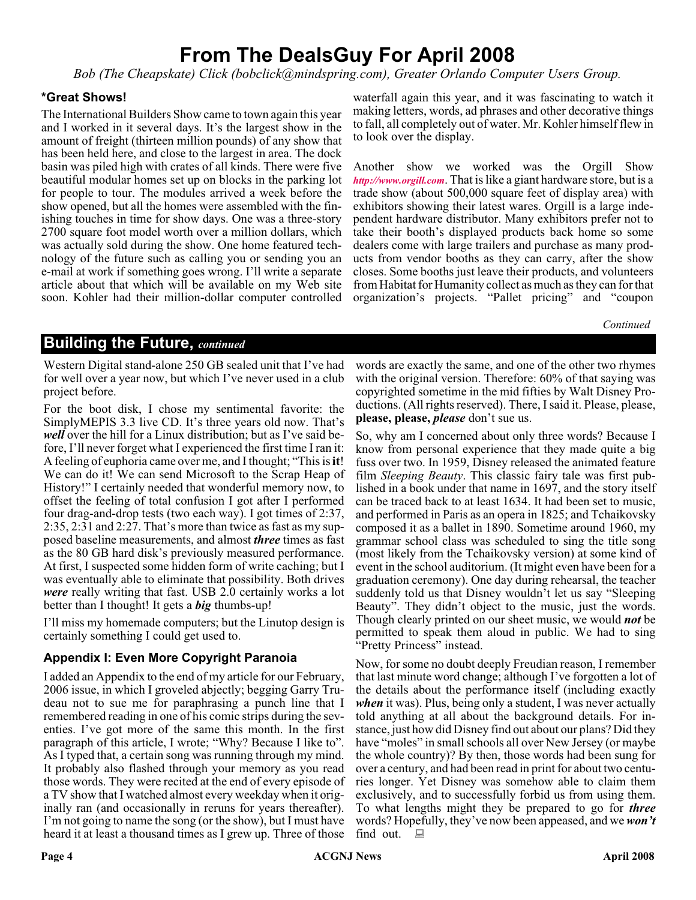### **From The DealsGuy For April 2008**

*Bob (The Cheapskate) Click (bobclick@mindspring.com), Greater Orlando Computer Users Group.*

#### **\*Great Shows!**

The International Builders Show came to town again this year and I worked in it several days. It's the largest show in the amount of freight (thirteen million pounds) of any show that has been held here, and close to the largest in area. The dock basin was piled high with crates of all kinds. There were five beautiful modular homes set up on blocks in the parking lot for people to tour. The modules arrived a week before the show opened, but all the homes were assembled with the finishing touches in time for show days. One was a three-story 2700 square foot model worth over a million dollars, which was actually sold during the show. One home featured technology of the future such as calling you or sending you an e-mail at work if something goes wrong. I'll write a separate article about that which will be available on my Web site soon. Kohler had their million-dollar computer controlled waterfall again this year, and it was fascinating to watch it making letters, words, ad phrases and other decorative things to fall, all completely out of water. Mr. Kohler himself flew in to look over the display.

Another show we worked was the Orgill Show *<http://www.orgill.com>*. That is like a giant hardware store, but is a trade show (about 500,000 square feet of display area) with exhibitors showing their latest wares. Orgill is a large independent hardware distributor. Many exhibitors prefer not to take their booth's displayed products back home so some dealers come with large trailers and purchase as many products from vendor booths as they can carry, after the show closes. Some booths just leave their products, and volunteers from Habitat for Humanity collect as much as they can for that organization's projects. "Pallet pricing" and "coupon

*Continued*

#### **Building the Future,** *continued*

Western Digital stand-alone 250 GB sealed unit that I've had for well over a year now, but which I've never used in a club project before.

For the boot disk, I chose my sentimental favorite: the SimplyMEPIS 3.3 live CD. It's three years old now. That's *well* over the hill for a Linux distribution; but as I've said before, I'll never forget what I experienced the first time I ran it: A feeling of euphoria came over me, and I thought; "This is**it**! We can do it! We can send Microsoft to the Scrap Heap of History!" I certainly needed that wonderful memory now, to offset the feeling of total confusion I got after I performed four drag-and-drop tests (two each way). I got times of 2:37, 2:35, 2:31 and 2:27. That's more than twice as fast as my supposed baseline measurements, and almost *three* times as fast as the 80 GB hard disk's previously measured performance. At first, I suspected some hidden form of write caching; but I was eventually able to eliminate that possibility. Both drives *were* really writing that fast. USB 2.0 certainly works a lot better than I thought! It gets a *big* thumbs-up!

I'll miss my homemade computers; but the Linutop design is certainly something I could get used to.

#### **Appendix I: Even More Copyright Paranoia**

I added an Appendix to the end of my article for our February, 2006 issue, in which I groveled abjectly; begging Garry Trudeau not to sue me for paraphrasing a punch line that I remembered reading in one of his comic strips during the seventies. I've got more of the same this month. In the first paragraph of this article, I wrote; "Why? Because I like to". As I typed that, a certain song was running through my mind. It probably also flashed through your memory as you read those words. They were recited at the end of every episode of a TV show that I watched almost every weekday when it originally ran (and occasionally in reruns for years thereafter). I'm not going to name the song (or the show), but I must have heard it at least a thousand times as I grew up. Three of those

words are exactly the same, and one of the other two rhymes with the original version. Therefore: 60% of that saying was copyrighted sometime in the mid fifties by Walt Disney Productions. (All rights reserved). There, I said it. Please, please, **please, please,** *please* don't sue us.

So, why am I concerned about only three words? Because I know from personal experience that they made quite a big fuss over two. In 1959, Disney released the animated feature film *Sleeping Beauty*. This classic fairy tale was first published in a book under that name in 1697, and the story itself can be traced back to at least 1634. It had been set to music, and performed in Paris as an opera in 1825; and Tchaikovsky composed it as a ballet in 1890. Sometime around 1960, my grammar school class was scheduled to sing the title song (most likely from the Tchaikovsky version) at some kind of event in the school auditorium. (It might even have been for a graduation ceremony). One day during rehearsal, the teacher suddenly told us that Disney wouldn't let us say "Sleeping Beauty". They didn't object to the music, just the words. Though clearly printed on our sheet music, we would *not* be permitted to speak them aloud in public. We had to sing "Pretty Princess" instead.

Now, for some no doubt deeply Freudian reason, I remember that last minute word change; although I've forgotten a lot of the details about the performance itself (including exactly *when* it was). Plus, being only a student, I was never actually told anything at all about the background details. For instance, just how did Disney find out about our plans? Did they have "moles" in small schools all over New Jersey (or maybe the whole country)? By then, those words had been sung for over a century, and had been read in print for about two centuries longer. Yet Disney was somehow able to claim them exclusively, and to successfully forbid us from using them. To what lengths might they be prepared to go for *three* words? Hopefully, they've now been appeased, and we*won't* find out.  $\Box$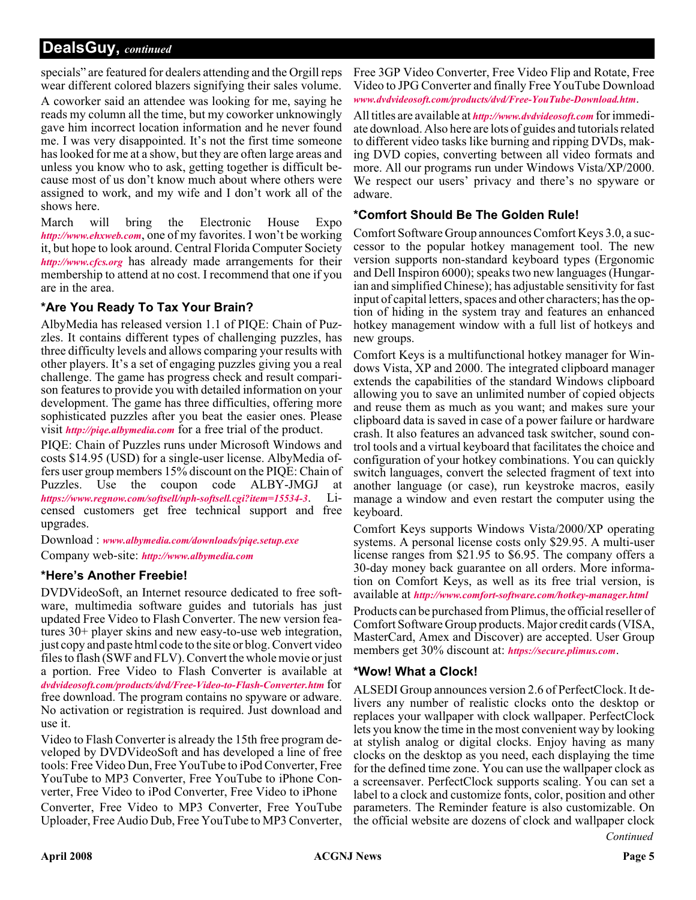#### **DealsGuy,** *continued*

specials" are featured for dealers attending and the Orgill reps wear different colored blazers signifying their sales volume.

A coworker said an attendee was looking for me, saying he reads my column all the time, but my coworker unknowingly gave him incorrect location information and he never found me. I was very disappointed. It's not the first time someone has looked for me at a show, but they are often large areas and unless you know who to ask, getting together is difficult because most of us don't know much about where others were assigned to work, and my wife and I don't work all of the shows here.

March will bring the Electronic House Expo *<http://www.ehxweb.com>*, one of my favorites. I won't be working it, but hope to look around. Central Florida Computer Society *<http://www.cfcs.org>* has already made arrangements for their membership to attend at no cost. I recommend that one if you are in the area.

#### **\*Are You Ready To Tax Your Brain?**

AlbyMedia has released version 1.1 of PIQE: Chain of Puzzles. It contains different types of challenging puzzles, has three difficulty levels and allows comparing your results with other players. It's a set of engaging puzzles giving you a real challenge. The game has progress check and result comparison features to provide you with detailed information on your development. The game has three difficulties, offering more sophisticated puzzles after you beat the easier ones. Please visit *<http://piqe.albymedia.com>* for a free trial of the product.

PIQE: Chain of Puzzles runs under Microsoft Windows and costs \$14.95 (USD) for a single-user license. AlbyMedia offers user group members 15% discount on the PIQE: Chain of Puzzles. Use the coupon code ALBY-JMGJ at *<https://www.regnow.com/softsell/nph-softsell.cgi?item=15534-3>*. Licensed customers get free technical support and free upgrades.

Download : *[www.albymedia.com/downloads/piqe.setup.exe](http://www.albymedia.com/downloads/piqe.setup.exe)*

Company web-site: *<http://www.albymedia.com>*

#### **\*Here's Another Freebie!**

DVDVideoSoft, an Internet resource dedicated to free software, multimedia software guides and tutorials has just updated Free Video to Flash Converter. The new version features 30+ player skins and new easy-to-use web integration, just copy and paste html code to the site or blog. Convert video files to flash (SWF and FLV). Convert the whole movie or just a portion. Free Video to Flash Converter is available at *[dvdvideosoft.com/products/dvd/Free-Video-to-Flash-Converter.htm](http://www.dvdvideosoft.com/products/dvd/Free-Video-to-Flash-Converter.htm)* for free download. The program contains no spyware or adware. No activation or registration is required. Just download and use it.

Video to Flash Converter is already the 15th free program developed by DVDVideoSoft and has developed a line of free tools: Free Video Dun, Free YouTube to iPod Converter, Free YouTube to MP3 Converter, Free YouTube to iPhone Converter, Free Video to iPod Converter, Free Video to iPhone Converter, Free Video to MP3 Converter, Free YouTube Uploader, Free Audio Dub, Free YouTube to MP3 Converter,

Free 3GP Video Converter, Free Video Flip and Rotate, Free Video to JPG Converter and finally Free YouTube Download *[www.dvdvideosoft.com/products/dvd/Free-YouTube-Download.htm](http://www.dvdvideosoft.com/products/dvd/Free-YouTube-Download.htm)*.

All titles are available at *[http://www.dvdvideosoft.com](http://www.dvdvideosoft.com/free-dvd-video-software.htm)* for immediate download. Also here are lots of guides and tutorials related to different video tasks like burning and ripping DVDs, making DVD copies, converting between all video formats and more. All our programs run under Windows Vista/XP/2000. We respect our users' privacy and there's no spyware or adware.

#### **\*Comfort Should Be The Golden Rule!**

Comfort Software Group announces Comfort Keys 3.0, a successor to the popular hotkey management tool. The new version supports non-standard keyboard types (Ergonomic and Dell Inspiron 6000); speaks two new languages (Hungarian and simplified Chinese); has adjustable sensitivity for fast input of capital letters, spaces and other characters; has the option of hiding in the system tray and features an enhanced hotkey management window with a full list of hotkeys and new groups.

Comfort Keys is a multifunctional hotkey manager for Windows Vista, XP and 2000. The integrated clipboard manager extends the capabilities of the standard Windows clipboard allowing you to save an unlimited number of copied objects and reuse them as much as you want; and makes sure your clipboard data is saved in case of a power failure or hardware crash. It also features an advanced task switcher, sound control tools and a virtual keyboard that facilitates the choice and configuration of your hotkey combinations. You can quickly switch languages, convert the selected fragment of text into another language (or case), run keystroke macros, easily manage a window and even restart the computer using the keyboard.

Comfort Keys supports Windows Vista/2000/XP operating systems. A personal license costs only \$29.95. A multi-user license ranges from \$21.95 to \$6.95. The company offers a 30-day money back guarantee on all orders. More information on Comfort Keys, as well as its free trial version, is available at *<http://www.comfort-software.com/hotkey-manager.html>*

Products can be purchased from Plimus, the official reseller of Comfort Software Group products. Major credit cards (VISA, MasterCard, Amex and Discover) are accepted. User Group members get 30% discount at: *[https://secure.plimus.com](https://secure.plimus.com/jsp/buynow.jsp?contractId=1711308&couponCode=dealsguy)*.

#### **\*Wow! What a Clock!**

*Continued* ALSEDI Group announces version 2.6 of PerfectClock. It delivers any number of realistic clocks onto the desktop or replaces your wallpaper with clock wallpaper. PerfectClock lets you know the time in the most convenient way by looking at stylish analog or digital clocks. Enjoy having as many clocks on the desktop as you need, each displaying the time for the defined time zone. You can use the wallpaper clock as a screensaver. PerfectClock supports scaling. You can set a label to a clock and customize fonts, color, position and other parameters. The Reminder feature is also customizable. On the official website are dozens of clock and wallpaper clock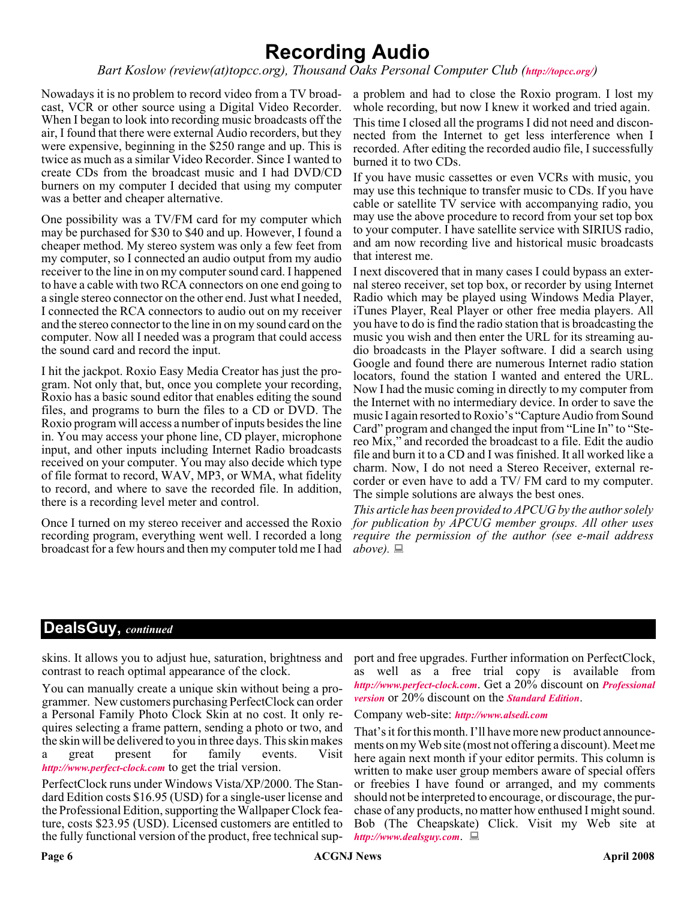### **Recording Audio**

*Bart Koslow (review(at)topcc.org), Thousand Oaks Personal Computer Club (<http://topcc.org/>*)

Nowadays it is no problem to record video from a TV broadcast, VCR or other source using a Digital Video Recorder. When I began to look into recording music broadcasts off the air, I found that there were external Audio recorders, but they were expensive, beginning in the \$250 range and up. This is twice as much as a similar Video Recorder. Since I wanted to create CDs from the broadcast music and I had DVD/CD burners on my computer I decided that using my computer was a better and cheaper alternative.

One possibility was a TV/FM card for my computer which may be purchased for \$30 to \$40 and up. However, I found a cheaper method. My stereo system was only a few feet from my computer, so I connected an audio output from my audio receiver to the line in on my computer sound card. I happened to have a cable with two RCA connectors on one end going to a single stereo connector on the other end. Just what I needed, I connected the RCA connectors to audio out on my receiver and the stereo connector to the line in on my sound card on the computer. Now all I needed was a program that could access the sound card and record the input.

I hit the jackpot. Roxio Easy Media Creator has just the program. Not only that, but, once you complete your recording, Roxio has a basic sound editor that enables editing the sound files, and programs to burn the files to a CD or DVD. The Roxio program will access a number of inputs besides the line in. You may access your phone line, CD player, microphone input, and other inputs including Internet Radio broadcasts received on your computer. You may also decide which type of file format to record, WAV, MP3, or WMA, what fidelity to record, and where to save the recorded file. In addition, there is a recording level meter and control.

Once I turned on my stereo receiver and accessed the Roxio recording program, everything went well. I recorded a long broadcast for a few hours and then my computer told me I had

a problem and had to close the Roxio program. I lost my whole recording, but now I knew it worked and tried again.

This time I closed all the programs I did not need and disconnected from the Internet to get less interference when I recorded. After editing the recorded audio file, I successfully burned it to two CDs.

If you have music cassettes or even VCRs with music, you may use this technique to transfer music to CDs. If you have cable or satellite TV service with accompanying radio, you may use the above procedure to record from your set top box to your computer. I have satellite service with SIRIUS radio, and am now recording live and historical music broadcasts that interest me.

I next discovered that in many cases I could bypass an external stereo receiver, set top box, or recorder by using Internet Radio which may be played using Windows Media Player, iTunes Player, Real Player or other free media players. All you have to do is find the radio station that is broadcasting the music you wish and then enter the URL for its streaming audio broadcasts in the Player software. I did a search using Google and found there are numerous Internet radio station locators, found the station I wanted and entered the URL. Now I had the music coming in directly to my computer from the Internet with no intermediary device. In order to save the music I again resorted to Roxio's "Capture Audio from Sound Card" program and changed the input from "Line In" to "Stereo Mix," and recorded the broadcast to a file. Edit the audio file and burn it to a CD and I was finished. It all worked like a charm. Now, I do not need a Stereo Receiver, external recorder or even have to add a TV/ FM card to my computer. The simple solutions are always the best ones.

*This article has been provided to APCUG by the author solely for publication by APCUG member groups. All other uses require the permission of the author (see e-mail address*  $above. \equiv$ 

#### **DealsGuy,** *continued*

skins. It allows you to adjust hue, saturation, brightness and contrast to reach optimal appearance of the clock.

You can manually create a unique skin without being a programmer. New customers purchasing PerfectClock can order a Personal Family Photo Clock Skin at no cost. It only requires selecting a frame pattern, sending a photo or two, and the skin will be delivered to you in three days. This skin makes a great present for family events. Visit *<http://www.perfect-clock.com>* to get the trial version.

PerfectClock runs under Windows Vista/XP/2000. The Standard Edition costs \$16.95 (USD) for a single-user license and the Professional Edition, supporting the Wallpaper Clock feature, costs \$23.95 (USD). Licensed customers are entitled to the fully functional version of the product, free technical sup-

port and free upgrades. Further information on PerfectClock, as well as a free trial copy is available from *<http://www.perfect-clock.com>*. Get a 20% discount on *[Professional](https://www.plimus.com/jsp/buynow.jsp?contractId=1717144&couponCode=GROUP20PERCENT) version* or 20% discount on the *[Standard Edition](https://www.plimus.com/jsp/buynow.jsp?contractId=1695221&couponCode=GROUP20PERCENT)*.

Company web-site: *<http://www.alsedi.com>*

That's it for this month. I'll have more new product announcements on my Web site (most not offering a discount). Meet me here again next month if your editor permits. This column is written to make user group members aware of special offers or freebies I have found or arranged, and my comments should not be interpreted to encourage, or discourage, the purchase of any products, no matter how enthused I might sound. Bob (The Cheapskate) Click. Visit my Web site at *<http://www.dealsguy.com>*.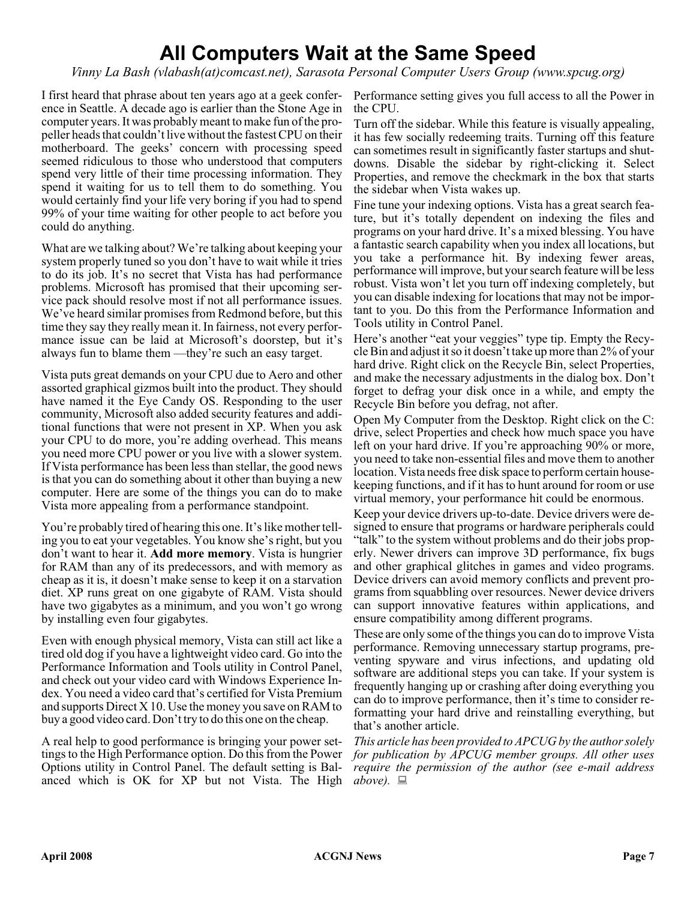### **All Computers Wait at the Same Speed**

*Vinny La Bash (vlabash(at)comcast.net), Sarasota Personal Computer Users Group (www.spcug.org)*

I first heard that phrase about ten years ago at a geek conference in Seattle. A decade ago is earlier than the Stone Age in computer years. It was probably meant to make fun of the propeller heads that couldn't live without the fastest CPU on their motherboard. The geeks' concern with processing speed seemed ridiculous to those who understood that computers spend very little of their time processing information. They spend it waiting for us to tell them to do something. You would certainly find your life very boring if you had to spend 99% of your time waiting for other people to act before you could do anything.

What are we talking about? We're talking about keeping your system properly tuned so you don't have to wait while it tries to do its job. It's no secret that Vista has had performance problems. Microsoft has promised that their upcoming service pack should resolve most if not all performance issues. We've heard similar promises from Redmond before, but this time they say they really mean it. In fairness, not every performance issue can be laid at Microsoft's doorstep, but it's always fun to blame them —they're such an easy target.

Vista puts great demands on your CPU due to Aero and other assorted graphical gizmos built into the product. They should have named it the Eye Candy OS. Responding to the user community, Microsoft also added security features and additional functions that were not present in XP. When you ask your CPU to do more, you're adding overhead. This means you need more CPU power or you live with a slower system. If Vista performance has been less than stellar, the good news is that you can do something about it other than buying a new computer. Here are some of the things you can do to make Vista more appealing from a performance standpoint.

You're probably tired of hearing this one. It's like mother telling you to eat your vegetables. You know she's right, but you don't want to hear it. **Add more memory**. Vista is hungrier for RAM than any of its predecessors, and with memory as cheap as it is, it doesn't make sense to keep it on a starvation diet. XP runs great on one gigabyte of RAM. Vista should have two gigabytes as a minimum, and you won't go wrong by installing even four gigabytes.

Even with enough physical memory, Vista can still act like a tired old dog if you have a lightweight video card. Go into the Performance Information and Tools utility in Control Panel, and check out your video card with Windows Experience Index. You need a video card that's certified for Vista Premium and supports Direct X 10. Use the money you save on RAM to buy a good video card. Don't try to do this one on the cheap.

A real help to good performance is bringing your power settings to the High Performance option. Do this from the Power Options utility in Control Panel. The default setting is Balanced which is OK for XP but not Vista. The High above).

Performance setting gives you full access to all the Power in the CPU.

Turn off the sidebar. While this feature is visually appealing, it has few socially redeeming traits. Turning off this feature can sometimes result in significantly faster startups and shutdowns. Disable the sidebar by right-clicking it. Select Properties, and remove the checkmark in the box that starts the sidebar when Vista wakes up.

Fine tune your indexing options. Vista has a great search feature, but it's totally dependent on indexing the files and programs on your hard drive. It's a mixed blessing. You have a fantastic search capability when you index all locations, but you take a performance hit. By indexing fewer areas, performance will improve, but your search feature will be less robust. Vista won't let you turn off indexing completely, but you can disable indexing for locations that may not be important to you. Do this from the Performance Information and Tools utility in Control Panel.

Here's another "eat your veggies" type tip. Empty the Recycle Bin and adjust it so it doesn't take up more than 2% of your hard drive. Right click on the Recycle Bin, select Properties, and make the necessary adjustments in the dialog box. Don't forget to defrag your disk once in a while, and empty the Recycle Bin before you defrag, not after.

Open My Computer from the Desktop. Right click on the C: drive, select Properties and check how much space you have left on your hard drive. If you're approaching 90% or more, you need to take non-essential files and move them to another location. Vista needs free disk space to perform certain housekeeping functions, and if it has to hunt around for room or use virtual memory, your performance hit could be enormous.

Keep your device drivers up-to-date. Device drivers were designed to ensure that programs or hardware peripherals could "talk" to the system without problems and do their jobs properly. Newer drivers can improve 3D performance, fix bugs and other graphical glitches in games and video programs. Device drivers can avoid memory conflicts and prevent programs from squabbling over resources. Newer device drivers can support innovative features within applications, and ensure compatibility among different programs.

These are only some of the things you can do to improve Vista performance. Removing unnecessary startup programs, preventing spyware and virus infections, and updating old software are additional steps you can take. If your system is frequently hanging up or crashing after doing everything you can do to improve performance, then it's time to consider reformatting your hard drive and reinstalling everything, but that's another article.

*This article has been provided to APCUG by the author solely for publication by APCUG member groups. All other uses require the permission of the author (see e-mail address*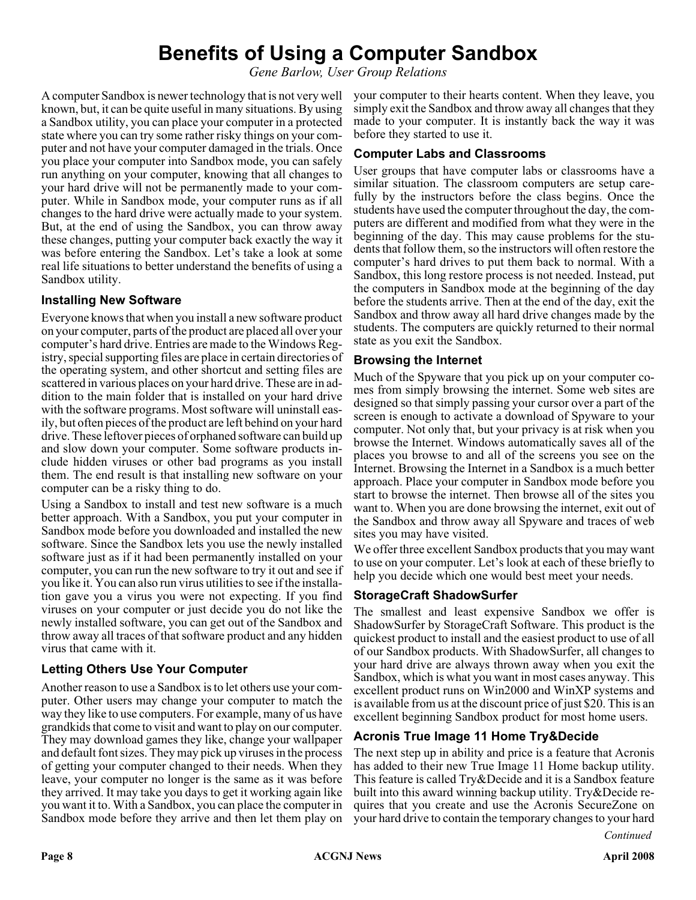### **Benefits of Using a Computer Sandbox**

*Gene Barlow, User Group Relations*

A computer Sandbox is newer technology that is not very well known, but, it can be quite useful in many situations. By using a Sandbox utility, you can place your computer in a protected state where you can try some rather risky things on your computer and not have your computer damaged in the trials. Once you place your computer into Sandbox mode, you can safely run anything on your computer, knowing that all changes to your hard drive will not be permanently made to your computer. While in Sandbox mode, your computer runs as if all changes to the hard drive were actually made to your system. But, at the end of using the Sandbox, you can throw away these changes, putting your computer back exactly the way it was before entering the Sandbox. Let's take a look at some real life situations to better understand the benefits of using a Sandbox utility.

#### **Installing New Software**

Everyone knows that when you install a new software product on your computer, parts of the product are placed all over your computer's hard drive. Entries are made to the Windows Registry, special supporting files are place in certain directories of the operating system, and other shortcut and setting files are scattered in various places on your hard drive. These are in addition to the main folder that is installed on your hard drive with the software programs. Most software will uninstall easily, but often pieces of the product are left behind on your hard drive. These leftover pieces of orphaned software can build up and slow down your computer. Some software products include hidden viruses or other bad programs as you install them. The end result is that installing new software on your computer can be a risky thing to do.

Using a Sandbox to install and test new software is a much better approach. With a Sandbox, you put your computer in Sandbox mode before you downloaded and installed the new software. Since the Sandbox lets you use the newly installed software just as if it had been permanently installed on your computer, you can run the new software to try it out and see if you like it. You can also run virus utilities to see if the installation gave you a virus you were not expecting. If you find viruses on your computer or just decide you do not like the newly installed software, you can get out of the Sandbox and throw away all traces of that software product and any hidden virus that came with it.

#### **Letting Others Use Your Computer**

Another reason to use a Sandbox is to let others use your computer. Other users may change your computer to match the way they like to use computers. For example, many of us have grandkids that come to visit and want to play on our computer. They may download games they like, change your wallpaper and default font sizes. They may pick up viruses in the process of getting your computer changed to their needs. When they leave, your computer no longer is the same as it was before they arrived. It may take you days to get it working again like you want it to. With a Sandbox, you can place the computer in Sandbox mode before they arrive and then let them play on

your computer to their hearts content. When they leave, you simply exit the Sandbox and throw away all changes that they made to your computer. It is instantly back the way it was before they started to use it.

#### **Computer Labs and Classrooms**

User groups that have computer labs or classrooms have a similar situation. The classroom computers are setup carefully by the instructors before the class begins. Once the students have used the computer throughout the day, the computers are different and modified from what they were in the beginning of the day. This may cause problems for the students that follow them, so the instructors will often restore the computer's hard drives to put them back to normal. With a Sandbox, this long restore process is not needed. Instead, put the computers in Sandbox mode at the beginning of the day before the students arrive. Then at the end of the day, exit the Sandbox and throw away all hard drive changes made by the students. The computers are quickly returned to their normal state as you exit the Sandbox.

#### **Browsing the Internet**

Much of the Spyware that you pick up on your computer comes from simply browsing the internet. Some web sites are designed so that simply passing your cursor over a part of the screen is enough to activate a download of Spyware to your computer. Not only that, but your privacy is at risk when you browse the Internet. Windows automatically saves all of the places you browse to and all of the screens you see on the Internet. Browsing the Internet in a Sandbox is a much better approach. Place your computer in Sandbox mode before you start to browse the internet. Then browse all of the sites you want to. When you are done browsing the internet, exit out of the Sandbox and throw away all Spyware and traces of web sites you may have visited.

We offer three excellent Sandbox products that you may want to use on your computer. Let's look at each of these briefly to help you decide which one would best meet your needs.

#### **StorageCraft ShadowSurfer**

The smallest and least expensive Sandbox we offer is ShadowSurfer by StorageCraft Software. This product is the quickest product to install and the easiest product to use of all of our Sandbox products. With ShadowSurfer, all changes to your hard drive are always thrown away when you exit the Sandbox, which is what you want in most cases anyway. This excellent product runs on Win2000 and WinXP systems and is available from us at the discount price of just \$20. This is an excellent beginning Sandbox product for most home users.

#### **Acronis True Image 11 Home Try&Decide**

The next step up in ability and price is a feature that Acronis has added to their new True Image 11 Home backup utility. This feature is called Try&Decide and it is a Sandbox feature built into this award winning backup utility. Try&Decide requires that you create and use the Acronis SecureZone on your hard drive to contain the temporary changes to your hard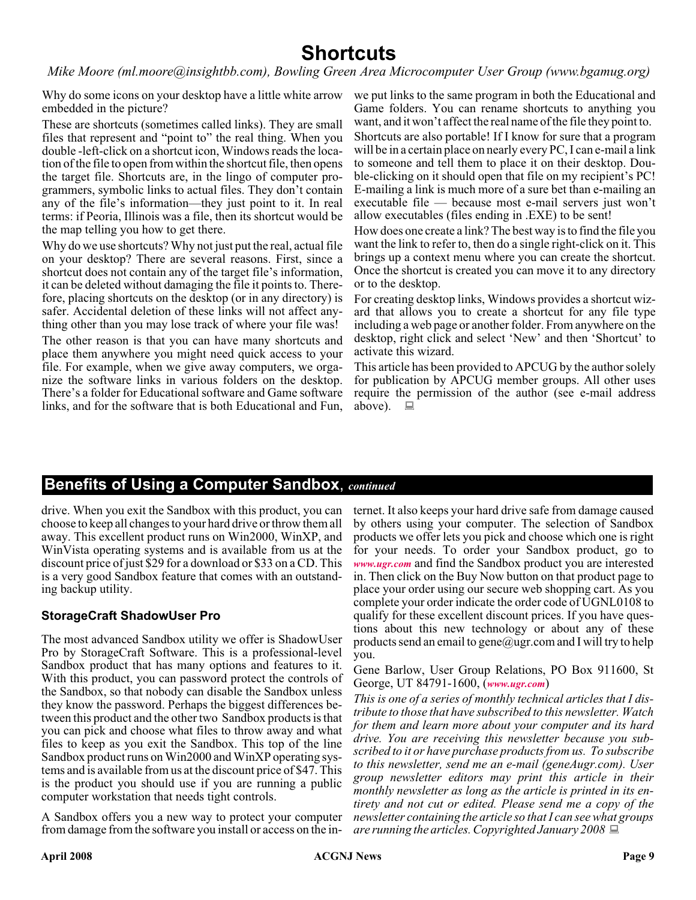### **Shortcuts**

*Mike Moore (ml.moore@insightbb.com), Bowling Green Area Microcomputer User Group (www.bgamug.org)*

Why do some icons on your desktop have a little white arrow embedded in the picture?

These are shortcuts (sometimes called links). They are small files that represent and "point to" the real thing. When you double -left-click on a shortcut icon, Windows reads the location of the file to open from within the shortcut file, then opens the target file. Shortcuts are, in the lingo of computer programmers, symbolic links to actual files. They don't contain any of the file's information—they just point to it. In real terms: if Peoria, Illinois was a file, then its shortcut would be the map telling you how to get there.

Why do we use shortcuts? Why not just put the real, actual file on your desktop? There are several reasons. First, since a shortcut does not contain any of the target file's information, it can be deleted without damaging the file it points to. Therefore, placing shortcuts on the desktop (or in any directory) is safer. Accidental deletion of these links will not affect anything other than you may lose track of where your file was!

The other reason is that you can have many shortcuts and place them anywhere you might need quick access to your file. For example, when we give away computers, we organize the software links in various folders on the desktop. There's a folder for Educational software and Game software links, and for the software that is both Educational and Fun,

we put links to the same program in both the Educational and Game folders. You can rename shortcuts to anything you want, and it won't affect the real name of the file they point to.

Shortcuts are also portable! If I know for sure that a program will be in a certain place on nearly every PC, I can e-mail a link to someone and tell them to place it on their desktop. Double-clicking on it should open that file on my recipient's PC! E-mailing a link is much more of a sure bet than e-mailing an executable file — because most e-mail servers just won't allow executables (files ending in .EXE) to be sent!

How does one create a link? The best way is to find the file you want the link to refer to, then do a single right-click on it. This brings up a context menu where you can create the shortcut. Once the shortcut is created you can move it to any directory or to the desktop.

For creating desktop links, Windows provides a shortcut wizard that allows you to create a shortcut for any file type including a web page or another folder. From anywhere on the desktop, right click and select 'New' and then 'Shortcut' to activate this wizard.

This article has been provided to APCUG by the author solely for publication by APCUG member groups. All other uses require the permission of the author (see e-mail address above).  $\Box$ 

#### **Benefits of Using a Computer Sandbox**, *continued*

drive. When you exit the Sandbox with this product, you can choose to keep all changes to your hard drive or throw them all away. This excellent product runs on Win2000, WinXP, and WinVista operating systems and is available from us at the discount price of just \$29 for a download or \$33 on a CD. This is a very good Sandbox feature that comes with an outstanding backup utility.

#### **StorageCraft ShadowUser Pro**

The most advanced Sandbox utility we offer is ShadowUser Pro by StorageCraft Software. This is a professional-level Sandbox product that has many options and features to it. With this product, you can password protect the controls of the Sandbox, so that nobody can disable the Sandbox unless they know the password. Perhaps the biggest differences between this product and the other two Sandbox products is that you can pick and choose what files to throw away and what files to keep as you exit the Sandbox. This top of the line Sandbox product runs on Win2000 and WinXP operating systems and is available from us at the discount price of \$47. This is the product you should use if you are running a public computer workstation that needs tight controls.

A Sandbox offers you a new way to protect your computer from damage from the software you install or access on the in-

ternet. It also keeps your hard drive safe from damage caused by others using your computer. The selection of Sandbox products we offer lets you pick and choose which one is right for your needs. To order your Sandbox product, go to *[www.ugr.com](http://www.ugr.com)* and find the Sandbox product you are interested in. Then click on the Buy Now button on that product page to place your order using our secure web shopping cart. As you complete your order indicate the order code of UGNL0108 to qualify for these excellent discount prices. If you have questions about this new technology or about any of these products send an email to gene@ugr.com and I will try to help you.

Gene Barlow, User Group Relations, PO Box 911600, St George, UT 84791-1600, (*[www.ugr.com](http://www.ugr.com)*)

*This is one of a series of monthly technical articles that I distribute to those that have subscribed to this newsletter. Watch for them and learn more about your computer and its hard drive. You are receiving this newsletter because you subscribed to it or have purchase products from us. To subscribe to this newsletter, send me an e-mail (geneAugr.com). User group newsletter editors may print this article in their monthly newsletter as long as the article is printed in its entirety and not cut or edited. Please send me a copy of the newsletter containing the article so that I can see what groups are running the articles. Copyrighted January 2008*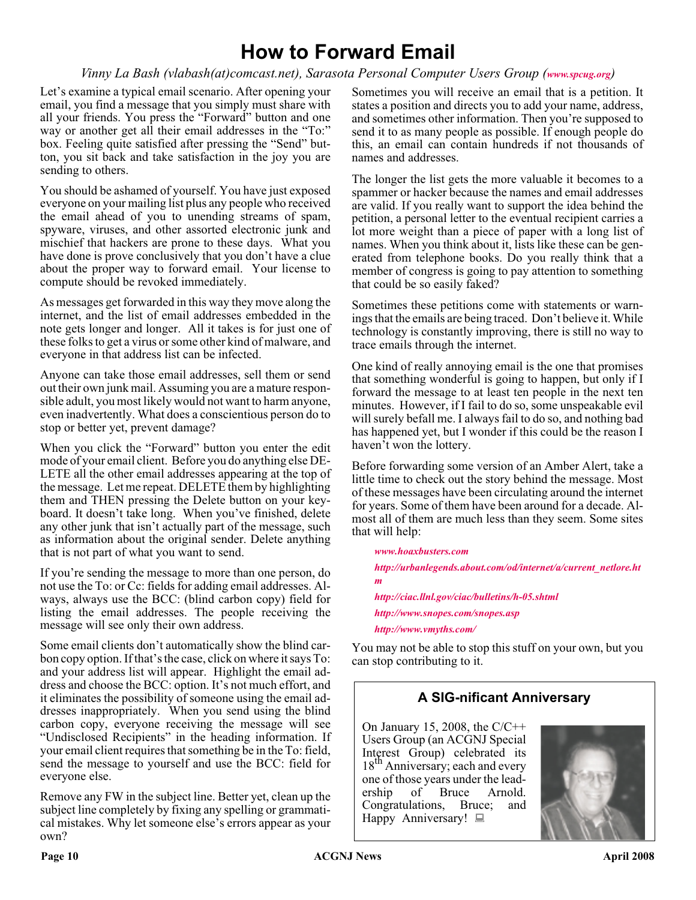### **How to Forward Email**

*Vinny La Bash (vlabash(at)comcast.net), Sarasota Personal Computer Users Group ([www.spcug.org](http://www.spcug.org))*

Let's examine a typical email scenario. After opening your email, you find a message that you simply must share with all your friends. You press the "Forward" button and one way or another get all their email addresses in the "To:" box. Feeling quite satisfied after pressing the "Send" button, you sit back and take satisfaction in the joy you are sending to others.

You should be ashamed of yourself. You have just exposed everyone on your mailing list plus any people who received the email ahead of you to unending streams of spam, spyware, viruses, and other assorted electronic junk and mischief that hackers are prone to these days. What you have done is prove conclusively that you don't have a clue about the proper way to forward email. Your license to compute should be revoked immediately.

As messages get forwarded in this way they move along the internet, and the list of email addresses embedded in the note gets longer and longer. All it takes is for just one of these folks to get a virus or some other kind of malware, and everyone in that address list can be infected.

Anyone can take those email addresses, sell them or send out their own junk mail. Assuming you are a mature responsible adult, you most likely would not want to harm anyone, even inadvertently. What does a conscientious person do to stop or better yet, prevent damage?

When you click the "Forward" button you enter the edit mode of your email client. Before you do anything else DE-LETE all the other email addresses appearing at the top of the message. Let me repeat. DELETE them by highlighting them and THEN pressing the Delete button on your keyboard. It doesn't take long. When you've finished, delete any other junk that isn't actually part of the message, such as information about the original sender. Delete anything that is not part of what you want to send.

If you're sending the message to more than one person, do not use the To: or Cc: fields for adding email addresses. Always, always use the BCC: (blind carbon copy) field for listing the email addresses. The people receiving the message will see only their own address.

Some email clients don't automatically show the blind carbon copy option. If that's the case, click on where it says To: and your address list will appear. Highlight the email address and choose the BCC: option. It's not much effort, and it eliminates the possibility of someone using the email addresses inappropriately. When you send using the blind carbon copy, everyone receiving the message will see "Undisclosed Recipients" in the heading information. If your email client requires that something be in the To: field, send the message to yourself and use the BCC: field for everyone else.

Remove any FW in the subject line. Better yet, clean up the subject line completely by fixing any spelling or grammatical mistakes. Why let someone else's errors appear as your own?

Sometimes you will receive an email that is a petition. It states a position and directs you to add your name, address, and sometimes other information. Then you're supposed to send it to as many people as possible. If enough people do this, an email can contain hundreds if not thousands of names and addresses.

The longer the list gets the more valuable it becomes to a spammer or hacker because the names and email addresses are valid. If you really want to support the idea behind the petition, a personal letter to the eventual recipient carries a lot more weight than a piece of paper with a long list of names. When you think about it, lists like these can be generated from telephone books. Do you really think that a member of congress is going to pay attention to something that could be so easily faked?

Sometimes these petitions come with statements or warnings that the emails are being traced. Don't believe it. While technology is constantly improving, there is still no way to trace emails through the internet.

One kind of really annoying email is the one that promises that something wonderful is going to happen, but only if I forward the message to at least ten people in the next ten minutes. However, if I fail to do so, some unspeakable evil will surely befall me. I always fail to do so, and nothing bad has happened yet, but I wonder if this could be the reason I haven't won the lottery.

Before forwarding some version of an Amber Alert, take a little time to check out the story behind the message. Most of these messages have been circulating around the internet for years. Some of them have been around for a decade. Almost all of them are much less than they seem. Some sites that will help:

*[www.hoaxbusters.com](http://www.hoaxbusters.com) [http://urbanlegends.about.com/od/internet/a/current\\_netlore.ht](http://urbanlegends.about.com/od/internet/a/current_netlore.htm  ) m <http://ciac.llnl.gov/ciac/bulletins/h-05.shtml> <http://www.snopes.com/snopes.asp> <http://www.vmyths.com/>*

You may not be able to stop this stuff on your own, but you can stop contributing to it.

#### **A SIG-nificant Anniversary**

On January 15, 2008, the  $C/C++$ Users Group (an ACGNJ Special Interest Group) celebrated its 18<sup>th</sup> Anniversary; each and every one of those years under the leadership of Bruce Arnold. Congratulations, Bruce; and Happy Anniversary!

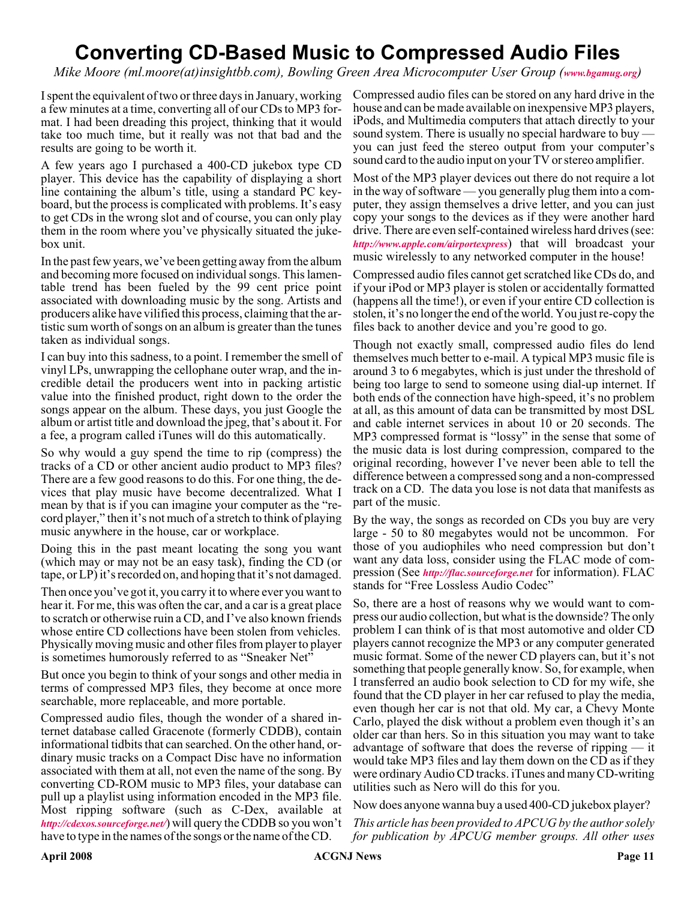### **Converting CD-Based Music to Compressed Audio Files**

*Mike Moore (ml.moore(at)insightbb.com), Bowling Green Area Microcomputer User Group ([www.bgamug.org](http://www.bgamug.org))*

I spent the equivalent of two or three days in January, working a few minutes at a time, converting all of our CDs to MP3 format. I had been dreading this project, thinking that it would take too much time, but it really was not that bad and the results are going to be worth it.

A few years ago I purchased a 400-CD jukebox type CD player. This device has the capability of displaying a short line containing the album's title, using a standard PC keyboard, but the process is complicated with problems. It's easy to get CDs in the wrong slot and of course, you can only play them in the room where you've physically situated the jukebox unit.

In the past few years, we've been getting away from the album and becoming more focused on individual songs. This lamentable trend has been fueled by the 99 cent price point associated with downloading music by the song. Artists and producers alike have vilified this process, claiming that the artistic sum worth of songs on an album is greater than the tunes taken as individual songs.

I can buy into this sadness, to a point. I remember the smell of vinyl LPs, unwrapping the cellophane outer wrap, and the incredible detail the producers went into in packing artistic value into the finished product, right down to the order the songs appear on the album. These days, you just Google the album or artist title and download the jpeg, that's about it. For a fee, a program called iTunes will do this automatically.

So why would a guy spend the time to rip (compress) the tracks of a CD or other ancient audio product to MP3 files? There are a few good reasons to do this. For one thing, the devices that play music have become decentralized. What I mean by that is if you can imagine your computer as the "record player," then it's not much of a stretch to think of playing music anywhere in the house, car or workplace.

Doing this in the past meant locating the song you want (which may or may not be an easy task), finding the CD (or tape, or LP) it's recorded on, and hoping that it's not damaged.

Then once you've got it, you carry it to where ever you want to hear it. For me, this was often the car, and a car is a great place to scratch or otherwise ruin a CD, and I've also known friends whose entire CD collections have been stolen from vehicles. Physically moving music and other files from player to player is sometimes humorously referred to as "Sneaker Net"

But once you begin to think of your songs and other media in terms of compressed MP3 files, they become at once more searchable, more replaceable, and more portable.

Compressed audio files, though the wonder of a shared internet database called Gracenote (formerly CDDB), contain informational tidbits that can searched. On the other hand, ordinary music tracks on a Compact Disc have no information associated with them at all, not even the name of the song. By converting CD-ROM music to MP3 files, your database can pull up a playlist using information encoded in the MP3 file. Most ripping software (such as C-Dex, available at *<http://cdexos.sourceforge.net/>*) will query the CDDB so you won't have to type in the names of the songs or the name of the CD.

Compressed audio files can be stored on any hard drive in the house and can be made available on inexpensive MP3 players, iPods, and Multimedia computers that attach directly to your sound system. There is usually no special hardware to buy you can just feed the stereo output from your computer's sound card to the audio input on your TV or stereo amplifier.

Most of the MP3 player devices out there do not require a lot in the way of software — you generally plug them into a computer, they assign themselves a drive letter, and you can just copy your songs to the devices as if they were another hard drive. There are even self-contained wireless hard drives (see: *<http://www.apple.com/airportexpress>*) that will broadcast your music wirelessly to any networked computer in the house!

Compressed audio files cannot get scratched like CDs do, and if your iPod or MP3 player is stolen or accidentally formatted (happens all the time!), or even if your entire CD collection is stolen, it's no longer the end of the world. You just re-copy the files back to another device and you're good to go.

Though not exactly small, compressed audio files do lend themselves much better to e-mail. A typical MP3 music file is around 3 to 6 megabytes, which is just under the threshold of being too large to send to someone using dial-up internet. If both ends of the connection have high-speed, it's no problem at all, as this amount of data can be transmitted by most DSL and cable internet services in about 10 or 20 seconds. The MP3 compressed format is "lossy" in the sense that some of the music data is lost during compression, compared to the original recording, however I've never been able to tell the difference between a compressed song and a non-compressed track on a CD. The data you lose is not data that manifests as part of the music.

By the way, the songs as recorded on CDs you buy are very large - 50 to 80 megabytes would not be uncommon. For those of you audiophiles who need compression but don't want any data loss, consider using the FLAC mode of compression (See *<http://flac.sourceforge.net>* for information). FLAC stands for "Free Lossless Audio Codec"

So, there are a host of reasons why we would want to compress our audio collection, but what is the downside? The only problem I can think of is that most automotive and older CD players cannot recognize the MP3 or any computer generated music format. Some of the newer CD players can, but it's not something that people generally know. So, for example, when I transferred an audio book selection to CD for my wife, she found that the CD player in her car refused to play the media, even though her car is not that old. My car, a Chevy Monte Carlo, played the disk without a problem even though it's an older car than hers. So in this situation you may want to take advantage of software that does the reverse of ripping — it would take MP3 files and lay them down on the CD as if they were ordinary Audio CD tracks. iTunes and many CD-writing utilities such as Nero will do this for you.

Now does anyone wanna buy a used 400-CD jukebox player?

*This article has been provided to APCUG by the author solely for publication by APCUG member groups. All other uses*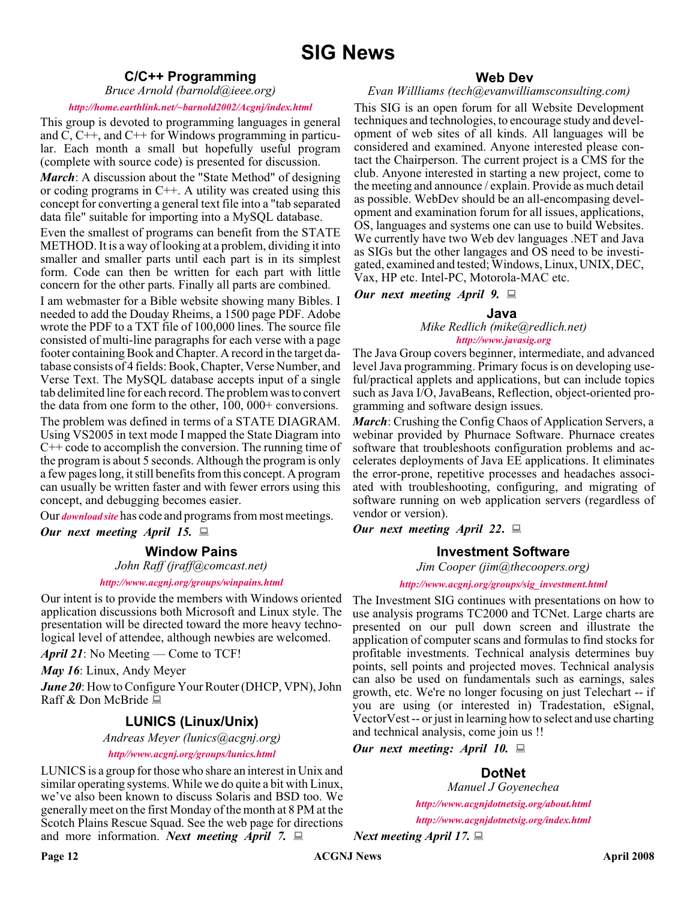#### **C/C++ Programming**

*Bruce Arnold (barnold@ieee.org)*

#### *<http://home.earthlink.net/~barnold2002/Acgnj/index.html>*

This group is devoted to programming languages in general and C, C++, and C++ for Windows programming in particular. Each month a small but hopefully useful program (complete with source code) is presented for discussion.

*March*: A discussion about the "State Method" of designing or coding programs in C++. A utility was created using this concept for converting a general text file into a "tab separated data file" suitable for importing into a MySQL database.

Even the smallest of programs can benefit from the STATE METHOD. It is a way of looking at a problem, dividing it into smaller and smaller parts until each part is in its simplest form. Code can then be written for each part with little concern for the other parts. Finally all parts are combined.

I am webmaster for a Bible website showing many Bibles. I needed to add the Douday Rheims, a 1500 page PDF. Adobe wrote the PDF to a TXT file of 100,000 lines. The source file consisted of multi-line paragraphs for each verse with a page footer containing Book and Chapter. A record in the target database consists of 4 fields: Book, Chapter, Verse Number, and Verse Text. The MySQL database accepts input of a single tab delimited line for each record. The problem was to convert the data from one form to the other, 100, 000+ conversions. The problem was defined in terms of a STATE DIAGRAM. Using VS2005 in text mode I mapped the State Diagram into C++ code to accomplish the conversion. The running time of the program is about 5 seconds. Although the program is only a few pages long, it still benefits from this concept. A program can usually be written faster and with fewer errors using this concept, and debugging becomes easier.

Our *[download site](http://home.earthlink.net/~barnold2002/Acgnj/Download.htm)* has code and programs from most meetings.

*Our next meeting April 15.*

#### **Window Pains**

*John Raff (jraff@comcast.net)*

*<http://www.acgnj.org/groups/winpains.html>*

Our intent is to provide the members with Windows oriented application discussions both Microsoft and Linux style. The presentation will be directed toward the more heavy technological level of attendee, although newbies are welcomed.

*April 21*: No Meeting — Come to TCF!

*May 16*: Linux, Andy Meyer

*June 20*: How to Configure Your Router (DHCP, VPN), John Raff & Don McBride ■

#### **LUNICS (Linux/Unix)**

*Andreas Meyer (lunics@acgnj.org)*

*<http//www.acgnj.org/groups/lunics.html>*

LUNICS is a group for those who share an interest in Unix and similar operating systems. While we do quite a bit with Linux, we've also been known to discuss Solaris and BSD too. We generally meet on the first Monday of the month at 8 PM at the Scotch Plains Rescue Squad. See the web page for directions and more information. *Next meeting April 7.*

#### **Web Dev**

#### *Evan Willliams (tech@evanwilliamsconsulting.com)*

This SIG is an open forum for all Website Development techniques and technologies, to encourage study and development of web sites of all kinds. All languages will be considered and examined. Anyone interested please contact the Chairperson. The current project is a CMS for the club. Anyone interested in starting a new project, come to the meeting and announce / explain. Provide as much detail as possible. WebDev should be an all-encompasing development and examination forum for all issues, applications, OS, languages and systems one can use to build Websites. We currently have two Web dev languages .NET and Java as SIGs but the other langages and OS need to be investigated, examined and tested; Windows, Linux, UNIX, DEC, Vax, HP etc. Intel-PC, Motorola-MAC etc.

*Our next meeting April 9.*

#### **Java**

*Mike Redlich (mike@redlich.net) <http://www.javasig.org>*

The Java Group covers beginner, intermediate, and advanced level Java programming. Primary focus is on developing useful/practical applets and applications, but can include topics such as Java I/O, JavaBeans, Reflection, object-oriented programming and software design issues.

*March*: Crushing the Config Chaos of Application Servers, a webinar provided by Phurnace Software. Phurnace creates software that troubleshoots configuration problems and accelerates deployments of Java EE applications. It eliminates the error-prone, repetitive processes and headaches associated with troubleshooting, configuring, and migrating of software running on web application servers (regardless of vendor or version).

*Our next meeting April 22***.**

#### **Investment Software**

*Jim Cooper (jim@thecoopers.org)*

#### *[http://www.acgnj.org/groups/sig\\_investment.html](http://www.acgnj.org/groups/sig_investment.html)*

The Investment SIG continues with presentations on how to use analysis programs TC2000 and TCNet. Large charts are presented on our pull down screen and illustrate the application of computer scans and formulas to find stocks for profitable investments. Technical analysis determines buy points, sell points and projected moves. Technical analysis can also be used on fundamentals such as earnings, sales growth, etc. We're no longer focusing on just Telechart -- if you are using (or interested in) Tradestation, eSignal, VectorVest -- or just in learning how to select and use charting and technical analysis, come join us !!

*Our next meeting: April 10.*

#### **DotNet**

*Manuel J Goyenechea*

*<http://www.acgnjdotnetsig.org/about.html>*

*<http://www.acgnjdotnetsig.org/index.html> Next meeting April 17.*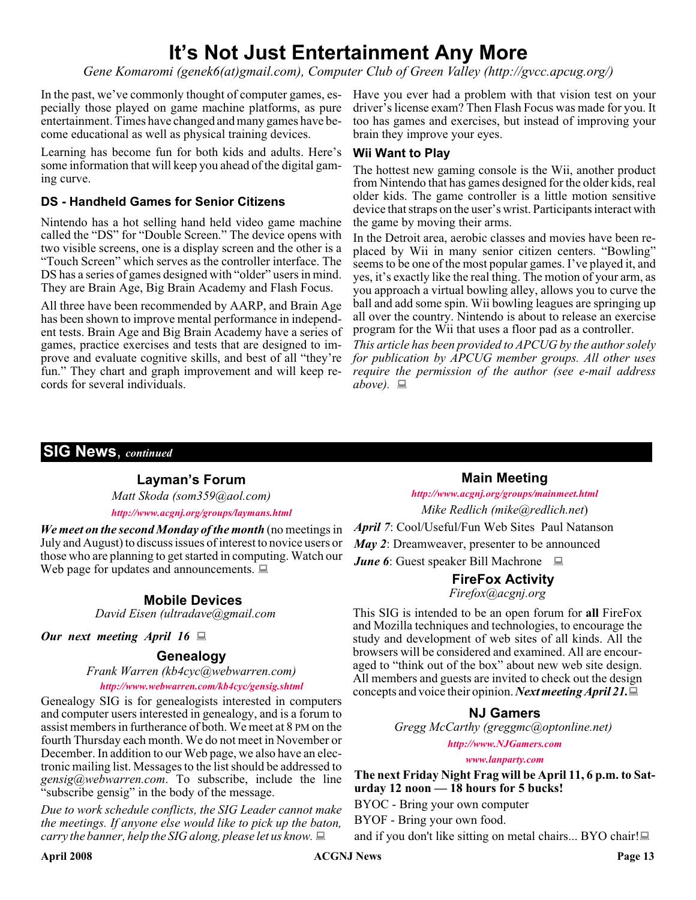### **It's Not Just Entertainment Any More**

*Gene Komaromi (genek6(at)gmail.com), Computer Club of Green Valley (http://gvcc.apcug.org/)*

pecially those played on game machine platforms, as pure entertainment. Times have changed and many games have become educational as well as physical training devices.

Learning has become fun for both kids and adults. Here's some information that will keep you ahead of the digital gaming curve.

#### **DS - Handheld Games for Senior Citizens**

Nintendo has a hot selling hand held video game machine called the "DS" for "Double Screen." The device opens with two visible screens, one is a display screen and the other is a "Touch Screen" which serves as the controller interface. The DS has a series of games designed with "older" users in mind. They are Brain Age, Big Brain Academy and Flash Focus.

All three have been recommended by AARP, and Brain Age has been shown to improve mental performance in independent tests. Brain Age and Big Brain Academy have a series of games, practice exercises and tests that are designed to improve and evaluate cognitive skills, and best of all "they're fun." They chart and graph improvement and will keep records for several individuals.

In the past, we've commonly thought of computer games, es-Have you ever had a problem with that vision test on your driver's license exam? Then Flash Focus was made for you. It too has games and exercises, but instead of improving your brain they improve your eyes.

#### **Wii Want to Play**

The hottest new gaming console is the Wii, another product from Nintendo that has games designed for the older kids, real older kids. The game controller is a little motion sensitive device that straps on the user's wrist. Participants interact with the game by moving their arms.

In the Detroit area, aerobic classes and movies have been replaced by Wii in many senior citizen centers. "Bowling" seems to be one of the most popular games. I've played it, and yes, it's exactly like the real thing. The motion of your arm, as you approach a virtual bowling alley, allows you to curve the ball and add some spin. Wii bowling leagues are springing up all over the country. Nintendo is about to release an exercise program for the Wii that uses a floor pad as a controller.

*This article has been provided to APCUG by the author solely for publication by APCUG member groups. All other uses require the permission of the author (see e-mail address*  $above. \Box$ 

#### **SIG News**, *continued*

#### **Layman's Forum**

*Matt Skoda (som359@aol.com)*

*<http://www.acgnj.org/groups/laymans.html>*

*We meet on the second Monday of the month* (no meetings in July and August) to discuss issues of interest to novice users or those who are planning to get started in computing. Watch our Web page for updates and announcements.  $\Box$ 

#### **Mobile Devices**

*David Eisen (ultradave@gmail.com*

#### *Our next meeting April 16*

#### **Genealogy**

*Frank Warren (kb4cyc@webwarren.com)*

#### *<http://www.webwarren.com/kb4cyc/gensig.shtml>*

Genealogy SIG is for genealogists interested in computers and computer users interested in genealogy, and is a forum to assist members in furtherance of both. We meet at 8 PM on the fourth Thursday each month. We do not meet in November or December. In addition to our Web page, we also have an electronic mailing list. Messages to the list should be addressed to *gensig@webwarren.com*. To subscribe, include the line "subscribe gensig" in the body of the message.

*Due to work schedule conflicts, the SIG Leader cannot make the meetings. If anyone else would like to pick up the baton, carry the banner, help the SIG along, please let us know.*

**Main Meeting** *<http://www.acgnj.org/groups/mainmeet.html> Mike Redlich (mike@redlich.net*) *April 7*: Cool/Useful/Fun Web Sites Paul Natanson *May 2*: Dreamweaver, presenter to be announced *June 6*: Guest speaker Bill Machrone ■

#### **FireFox Activity**

*Firefox@acgnj.org*

This SIG is intended to be an open forum for **all** FireFox and Mozilla techniques and technologies, to encourage the study and development of web sites of all kinds. All the browsers will be considered and examined. All are encouraged to "think out of the box" about new web site design. All members and guests are invited to check out the design concepts and voice their opinion. *Next meeting April 21.*

#### **NJ Gamers**

*Gregg McCarthy (greggmc@optonline.net)*

*<http://www.NJGamers.com>*

*[www.lanparty.com](http://www.lanparty.com)*

**The next Friday Night Frag will be April 11, 6 p.m. to Saturday 12 noon — 18 hours for 5 bucks!**

BYOC - Bring your own computer

BYOF - Bring your own food.

and if you don't like sitting on metal chairs... BYO chair!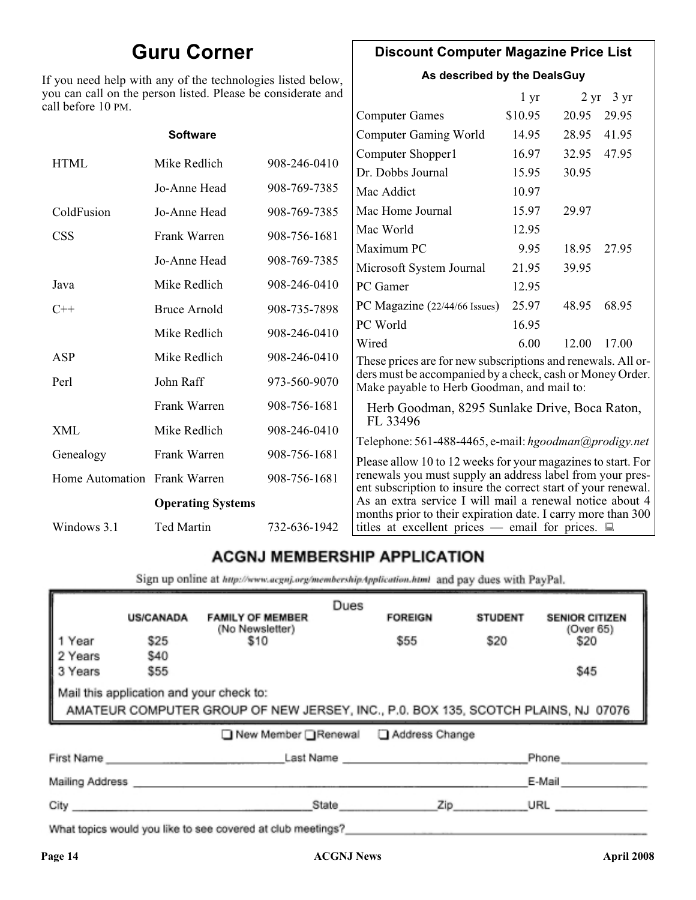### **Guru Corner**

If you need help with any of the technologies listed below, you can call on the person listed. Please be considerate and ca

#### **Discount Computer Magazine Price List**

**As described by the DealsGuy**

| ou can call on the person listed. Please be considerate and<br>ll before 10 PM. |                     |                   |                                                                                                                                                                                            | 1 <sub>yr</sub> |       | $2 \text{ yr}$ 3 yr |
|---------------------------------------------------------------------------------|---------------------|-------------------|--------------------------------------------------------------------------------------------------------------------------------------------------------------------------------------------|-----------------|-------|---------------------|
|                                                                                 |                     |                   | <b>Computer Games</b>                                                                                                                                                                      | \$10.95         | 20.95 | 29.95               |
|                                                                                 | <b>Software</b>     |                   | <b>Computer Gaming World</b>                                                                                                                                                               | 14.95           | 28.95 | 41.95               |
| <b>HTML</b>                                                                     | Mike Redlich        | 908-246-0410      | Computer Shopper1                                                                                                                                                                          | 16.97           | 32.95 | 47.95               |
|                                                                                 |                     | Dr. Dobbs Journal | 15.95                                                                                                                                                                                      | 30.95           |       |                     |
|                                                                                 | Jo-Anne Head        | 908-769-7385      | Mac Addict                                                                                                                                                                                 | 10.97           |       |                     |
| ColdFusion                                                                      | Jo-Anne Head        | 908-769-7385      | Mac Home Journal                                                                                                                                                                           | 15.97           | 29.97 |                     |
| <b>CSS</b>                                                                      | Frank Warren        | 908-756-1681      | Mac World                                                                                                                                                                                  | 12.95           |       |                     |
|                                                                                 |                     |                   | Maximum PC                                                                                                                                                                                 | 9.95            | 18.95 | 27.95               |
|                                                                                 | Jo-Anne Head        | 908-769-7385      | Microsoft System Journal                                                                                                                                                                   | 21.95           | 39.95 |                     |
| Java                                                                            | Mike Redlich        | 908-246-0410      | PC Gamer                                                                                                                                                                                   | 12.95           |       |                     |
| $C++$                                                                           | <b>Bruce Arnold</b> | 908-735-7898      | PC Magazine (22/44/66 Issues)                                                                                                                                                              | 25.97           | 48.95 | 68.95               |
|                                                                                 | Mike Redlich        | 908-246-0410      | PC World                                                                                                                                                                                   | 16.95           |       |                     |
|                                                                                 |                     |                   | Wired                                                                                                                                                                                      | 6.00            | 12.00 | 17.00               |
| ASP                                                                             | Mike Redlich        | 908-246-0410      | These prices are for new subscriptions and renewals. All or-                                                                                                                               |                 |       |                     |
| Perl                                                                            | John Raff           | 973-560-9070      | ders must be accompanied by a check, cash or Money Order.<br>Make payable to Herb Goodman, and mail to:                                                                                    |                 |       |                     |
|                                                                                 | Frank Warren        | 908-756-1681      | Herb Goodman, 8295 Sunlake Drive, Boca Raton,                                                                                                                                              |                 |       |                     |
| XML                                                                             | Mike Redlich        | 908-246-0410      | FL 33496                                                                                                                                                                                   |                 |       |                     |
| Genealogy                                                                       | Frank Warren        | 908-756-1681      | Telephone: 561-488-4465, e-mail: hgoodman@prodigy.net                                                                                                                                      |                 |       |                     |
| Home Automation Frank Warren                                                    |                     | 908-756-1681      | Please allow 10 to 12 weeks for your magazines to start. For<br>renewals you must supply an address label from your pres-<br>ent subscription to insure the correct start of your renewal. |                 |       |                     |
| <b>Operating Systems</b>                                                        |                     |                   | As an extra service I will mail a renewal notice about 4<br>months prior to their expiration date. I carry more than 300                                                                   |                 |       |                     |
| Windows 3.1                                                                     | <b>Ted Martin</b>   | 732-636-1942      | titles at excellent prices — email for prices. $\Box$                                                                                                                                      |                 |       |                     |
|                                                                                 |                     |                   |                                                                                                                                                                                            |                 |       |                     |

### **ACGNJ MEMBERSHIP APPLICATION**

Sign up online at http://www.acguj.org/membershipApplication.html and pay dues with PayPal.

| <b>US/CANADA</b>                                                                                                              | <b>FAMILY OF MEMBER</b> | Dues                                                         | <b>FOREIGN</b> | <b>STUDENT</b> | <b>SENIOR CITIZEN</b> |
|-------------------------------------------------------------------------------------------------------------------------------|-------------------------|--------------------------------------------------------------|----------------|----------------|-----------------------|
| \$25                                                                                                                          | \$10                    |                                                              | \$55           | \$20           | (Over 65)<br>\$20     |
| \$55                                                                                                                          |                         |                                                              |                |                | \$45                  |
| Mail this application and your check to:<br>AMATEUR COMPUTER GROUP OF NEW JERSEY, INC., P.0. BOX 135, SCOTCH PLAINS, NJ 07076 |                         |                                                              |                |                |                       |
| ■ New Member Renewal ■ Address Change                                                                                         |                         |                                                              |                |                |                       |
|                                                                                                                               |                         |                                                              |                |                | Phone                 |
|                                                                                                                               |                         |                                                              |                |                | E-Mail                |
|                                                                                                                               |                         |                                                              |                |                | URL                   |
|                                                                                                                               | \$40<br>City            | (No Newsletter)<br>First Name<br>Mailing Address ___________ | State          |                | Last Name<br>Zip      |

What topics would you like to see covered at club meetings?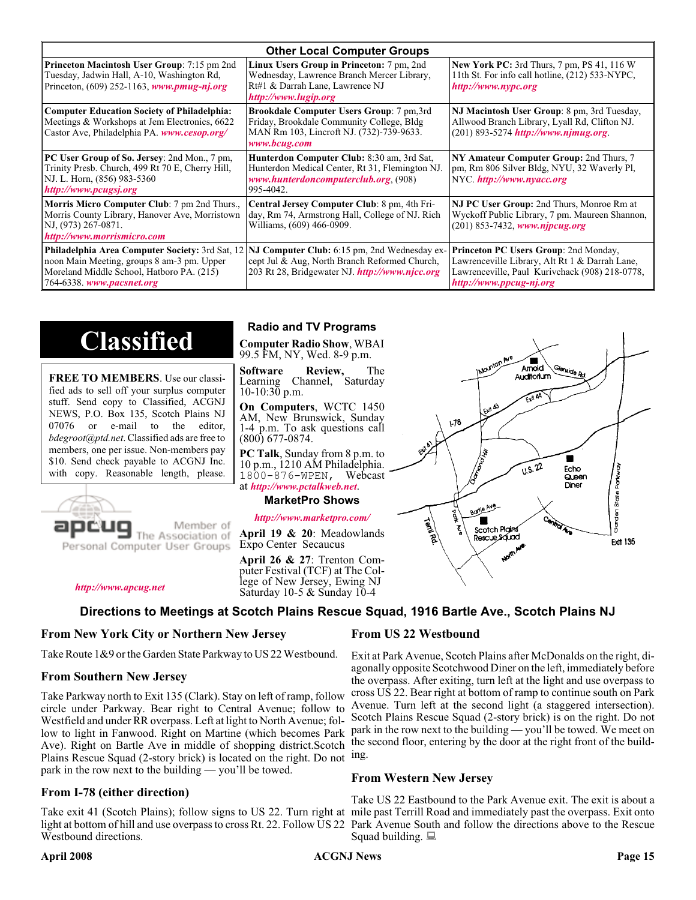| <b>Other Local Computer Groups</b>                                                                                                                         |                                                                                                                                                                                                        |                                                                                                                                                                             |  |  |  |
|------------------------------------------------------------------------------------------------------------------------------------------------------------|--------------------------------------------------------------------------------------------------------------------------------------------------------------------------------------------------------|-----------------------------------------------------------------------------------------------------------------------------------------------------------------------------|--|--|--|
| <b>Princeton Macintosh User Group:</b> 7:15 pm 2nd<br>Tuesday, Jadwin Hall, A-10, Washington Rd,<br>Princeton, $(609)$ 252-1163, www.pmug-nj.org           | Linux Users Group in Princeton: 7 pm, 2nd<br>Wednesday, Lawrence Branch Mercer Library,<br>Rt#1 & Darrah Lane, Lawrence NJ<br>http://www.lugip.org                                                     | <b>New York PC:</b> 3rd Thurs, 7 pm, PS 41, 116 W<br>11th St. For info call hotline, (212) 533-NYPC,<br>http://www.nypc.org                                                 |  |  |  |
| <b>Computer Education Society of Philadelphia:</b><br>Meetings & Workshops at Jem Electronics, 6622<br>Castor Ave, Philadelphia PA. www.cesop.org/         | <b>Brookdale Computer Users Group:</b> 7 pm, 3rd<br>Friday, Brookdale Community College, Bldg<br>MAN Rm 103, Lincroft NJ. (732)-739-9633.<br>www.bcug.com                                              | NJ Macintosh User Group: 8 pm, 3rd Tuesday,<br>Allwood Branch Library, Lyall Rd, Clifton NJ.<br>(201) 893-5274 http://www.njmug.org.                                        |  |  |  |
| PC User Group of So. Jersey: 2nd Mon., 7 pm,<br>Trinity Presb. Church, 499 Rt 70 E, Cherry Hill,<br>NJ. L. Horn, (856) 983-5360<br>http://www.pcugsj.org   | <b>Hunterdon Computer Club:</b> 8:30 am, 3rd Sat,<br>Hunterdon Medical Center, Rt 31, Flemington NJ.<br>www.hunterdoncomputerclub.org (908)<br>995-4042.                                               | NY Amateur Computer Group: 2nd Thurs, 7<br>pm, Rm 806 Silver Bldg, NYU, 32 Waverly Pl,<br>NYC http://www.nyacc.org                                                          |  |  |  |
| <b>Morris Micro Computer Club:</b> 7 pm 2nd Thurs.,<br>Morris County Library, Hanover Ave, Morristown<br>NJ, (973) 267-0871.<br>http://www.morrismicro.com | Central Jersey Computer Club: 8 pm, 4th Fri-<br>day, Rm 74, Armstrong Hall, College of NJ. Rich<br>Williams, (609) 466-0909.                                                                           | NJ PC User Group: 2nd Thurs, Monroe Rm at<br>Wyckoff Public Library, 7 pm. Maureen Shannon,<br>$(201)$ 853-7432, www.njpcug.org                                             |  |  |  |
| noon Main Meeting, groups 8 am-3 pm. Upper<br>Moreland Middle School, Hatboro PA. (215)<br>764-6338. www.pacsnet.org                                       | <b>Philadelphia Area Computer Society: 3rd Sat, 12 NJ Computer Club: 6:15 pm, 2nd Wednesday ex-</b><br>cept Jul & Aug, North Branch Reformed Church,<br>203 Rt 28, Bridgewater NJ. http://www.njcc.org | <b>Princeton PC Users Group: 2nd Monday,</b><br>Lawrenceville Library, Alt Rt 1 & Darrah Lane,<br>Lawrenceville, Paul Kurivchack (908) 218-0778,<br>http://www.ppcug-nj.org |  |  |  |

## **Classified**

**FREE TO MEMBERS**. Use our classified ads to sell off your surplus computer stuff. Send copy to Classified, ACGNJ NEWS, P.O. Box 135, Scotch Plains NJ 07076 or e-mail to the editor, *bdegroot@ptd.net*. Classified ads are free to members, one per issue. Non-members pay \$10. Send check payable to ACGNJ Inc. with copy. Reasonable length, please.



Member of

Personal Computer User Groups

*<http://www.apcug.net>*

#### **Radio and TV Programs**

**Computer Radio Show**, WBAI 99.5 FM, NY, Wed. 8-9 p.m.

**Software Review,** The Learning Channel, Saturday  $10-10:30$  p.m.

**On Computers**, WCTC 1450 AM, New Brunswick, Sunday 1-4 p.m. To ask questions call (800) 677-0874.

**PC Talk**, Sunday from 8 p.m. to 10 p.m., 1210 AM Philadelphia. 1800-876-WPEN, Webcast at *<http://www.pctalkweb.net>*.

#### **MarketPro Shows**

#### *<http://www.marketpro.com/>*

**April 19 & 20**: Meadowlands Expo Center Secaucus

**April 26 & 27**: Trenton Computer Festival (TCF) at The College of New Jersey, Ewing NJ Saturday 10-5 & Sunday 10-4

#### **Directions to Meetings at Scotch Plains Rescue Squad, 1916 Bartle Ave., Scotch Plains NJ**

#### **From New York City or Northern New Jersey**

Take Route 1&9 or the Garden State Parkway to US 22 Westbound.

#### **From Southern New Jersey**

Take Parkway north to Exit 135 (Clark). Stay on left of ramp, follow circle under Parkway. Bear right to Central Avenue; follow to Westfield and under RR overpass. Left at light to North Avenue; follow to light in Fanwood. Right on Martine (which becomes Park Ave). Right on Bartle Ave in middle of shopping district.Scotch Plains Rescue Squad (2-story brick) is located on the right. Do not ing. park in the row next to the building — you'll be towed.

#### **From I-78 (either direction)**

Take exit 41 (Scotch Plains); follow signs to US 22. Turn right at mile past Terrill Road and immediately past the overpass. Exit onto light at bottom of hill and use overpass to cross Rt. 22. Follow US 22 Park Avenue South and follow the directions above to the Rescue Westbound directions.

#### **From US 22 Westbound**

Exit at Park Avenue, Scotch Plains after McDonalds on the right, diagonally opposite Scotchwood Diner on the left, immediately before the overpass. After exiting, turn left at the light and use overpass to cross US 22. Bear right at bottom of ramp to continue south on Park Avenue. Turn left at the second light (a staggered intersection). Scotch Plains Rescue Squad (2-story brick) is on the right. Do not park in the row next to the building — you'll be towed. We meet on the second floor, entering by the door at the right front of the build-

#### **From Western New Jersey**

Take US 22 Eastbound to the Park Avenue exit. The exit is about a Squad building.  $\Box$